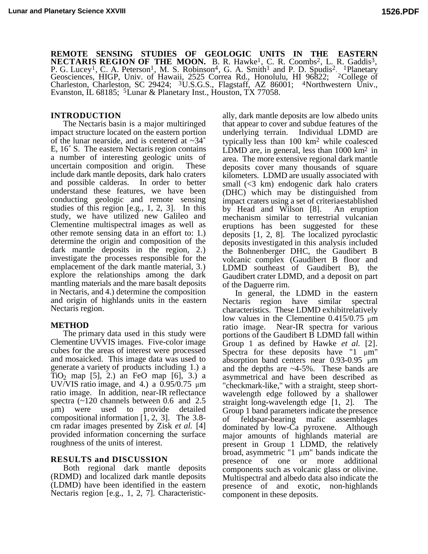**REMOTE SENSING STUDIES OF GEOLOGIC UNITS IN THE EASTERN NECTARIS REGION OF THE MOON.** B. R. Hawke<sup>1</sup>, C. R. Coombs<sup>2</sup>, L. R. Gaddis<sup>3</sup>, P. G. Lucey<sup>1</sup>, C. A. Peterson<sup>1</sup>, M. S. Robinson<sup>4</sup>, G. A. Smith<sup>1</sup> and P. D. Spudis<sup>2</sup>. <sup>1</sup>Planetary Geosciences, HIGP, Univ. of Hawaii, 2525 Correa Rd., Honolulu, HI 96822; <sup>2</sup>College of Charleston, Charleston, SC 29424; <sup>3</sup>U.S.G.S., Flagstaff, AZ 86001; <sup>4</sup>Northwestern Univ., Evanston, IL 68185; 5Lunar & Planetary Inst., Houston, TX 77058.

The Nectaris basin is a major multiringed impact structure located on the eastern portion of the lunar nearside, and is centered at ~34˚ E, 16˚ S. The eastern Nectaris region contains a number of interesting geologic units of uncertain composition and origin. These include dark mantle deposits, dark halo craters and possible calderas. In order to better understand these features, we have been conducting geologic and remote sensing studies of this region [e.g., 1, 2, 3]. In this study, we have utilized new Galileo and Clementine multispectral images as well as other remote sensing data in an effort to: 1.) determine the origin and composition of the dark mantle deposits in the region, 2.) investigate the processes responsible for the emplacement of the dark mantle material, 3.) explore the relationships among the dark mantling materials and the mare basalt deposits in Nectaris, and 4.) determine the composition and origin of highlands units in the eastern Nectaris region.

## **METHOD**

The primary data used in this study were Clementine UVVIS images. Five-color image cubes for the areas of interest were processed and mosaicked. This image data was used to generate a variety of products including 1.) a TiO<sub>2</sub> map [5], 2.) an FeO map [6], 3.) a UV/VIS ratio image, and 4.) a  $0.95/0.75 \mu m$ ratio image. In addition, near-IR reflectance spectra (~120 channels between 0.6 and 2.5 µm) were used to provide detailed compositional information  $\begin{bmatrix} 1, 2, 3 \end{bmatrix}$ . The 3.8cm radar images presented by Zisk *et al.* [4] provided information concerning the surface roughness of the units of interest.

## **RESULTS and DISCUSSION**

Both regional dark mantle deposits (RDMD) and localized dark mantle deposits (LDMD) have been identified in the eastern Nectaris region [e.g., 1, 2, 7]. Characteristic-

**INTRODUCTION** ally, dark mantle deposits are low albedo units that appear to cover and subdue features of the underlying terrain. Individual LDMD are typically less than 100 km2 while coalesced LDMD are, in general, less than 1000 km<sup>2</sup> in area. The more extensive regional dark mantle deposits cover many thousands of square kilometers. LDMD are usually associated with small (<3 km) endogenic dark halo craters (DHC) which may be distinguished from impact craters using a set of criteria established by Head and Wilson [8]. An eruption mechanism similar to terrestrial vulcanian eruptions has been suggested for these deposits [1, 2, 8]. The localized pyroclastic deposits investigated in this analysis included the Bohnenberger DHC, the Gaudibert B volcanic complex (Gaudibert B floor and LDMD southeast of Gaudibert B), the Gaudibert crater LDMD, and a deposit on part of the Daguerre rim.

> In general, the LDMD in the eastern Nectaris region have similar spectral characteristics. These LDMD exhibit relatively low values in the Clementine  $0.415/0.75 \mu m$ ratio image. Near-IR spectra for various portions of the Gaudibert B LDMD fall within Group 1 as defined by Hawke *et al.* [2]. Spectra for these deposits have "1  $\mu$ m" absorption band centers near 0.93-0.95 µm and the depths are ~4-5%. These bands are asymmetrical and have been described as "checkmark-like," with a straight, steep shortwavelength edge followed by a shallower straight long-wavelength edge [1, 2]. The Group 1 band parameters indicate the presence of feldspar-bearing mafic assemblages dominated by low-Ca pyroxene. Although major amounts of highlands material are present in Group 1 LDMD, the relatively broad, asymmetric "1  $\mu$ m" bands indicate the presence of one or more additional components such as volcanic glass or olivine. Multispectral and albedo data also indicate the presence of and exotic, non-highlands component in these deposits.